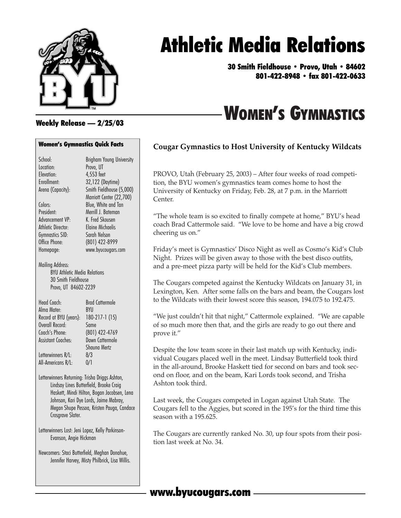

# Athletic Media Relations

30 Smith Fieldhouse • Provo, Utah • 84602 801-422-8948 • fax 801-422-0633

# WOMEN'S GYMNASTICS

#### Weekly Release — 2/25/03

#### Women's Gymnastics Quick Facts

| School:                                                                                                | <b>Brigham Young University</b>             |
|--------------------------------------------------------------------------------------------------------|---------------------------------------------|
| Location:                                                                                              | Provo, UT                                   |
| Flevation:                                                                                             | 4,553 feet                                  |
| Enrollment:                                                                                            | 32,122 (Daytime)                            |
| Arena (Capacity):                                                                                      | Smith Fieldhouse (5,000)                    |
|                                                                                                        | Marriott Center (22,700)                    |
| Colors:                                                                                                | Blue, White and Tan                         |
| President:                                                                                             | Merrill J. Bateman                          |
| Advancement VP:                                                                                        | K. Fred Skousen                             |
| Athletic Director:                                                                                     | <b>Elaine Michaelis</b>                     |
| Gymnastics SID:                                                                                        | Sarah Nelson                                |
| Office Phone:                                                                                          | (801) 422-8999                              |
| Homepage:                                                                                              | www.byucougars.com                          |
| Mailing Address:<br><b>BYU Athletic Media Relations</b><br>30 Smith Fieldhouse<br>Provo, UT 84602-2239 |                                             |
| Head Coach.                                                                                            | <b>Brad Cattermole</b>                      |
| Alma Mater:                                                                                            | BYU                                         |
| Record at BYU (years):                                                                                 | 180-217-1 (15)                              |
| Overall Record:                                                                                        | Same                                        |
| Coach's Phone:                                                                                         | (801) 422-4769                              |
| Assistant Coaches.                                                                                     | Dawn Cattermole                             |
|                                                                                                        | Shauna Mertz                                |
| Letterwinners R/L:                                                                                     | 8/3                                         |
| All-Americans R/L:                                                                                     | 0/1                                         |
| Letterwinners Returning: Trisha Driggs Ashton,                                                         |                                             |
|                                                                                                        | Lindsay Lines Butterfield, Brooke Craig     |
|                                                                                                        | Haskett, Mindi Hilton, Bogan Jacobsen, Lena |
|                                                                                                        | Johnson, Kari Dye Lords, Jaime Mabray,      |

Megan Shupe Pessoa, Kristen Pauga, Candace Crosgrave Slater.

Letterwinners Lost: Jeni Lopez, Kelly Parkinson-Evanson, Angie Hickman

Newcomers: Staci Butterfield, Meghan Donahue, Jennifer Harvey, Misty Philbrick, Lisa Willis.

#### **Cougar Gymnastics to Host University of Kentucky Wildcats**

PROVO, Utah (February 25, 2003) – After four weeks of road competition, the BYU women's gymnastics team comes home to host the University of Kentucky on Friday, Feb. 28, at 7 p.m. in the Marriott Center.

"The whole team is so excited to finally compete at home," BYU's head coach Brad Cattermole said. "We love to be home and have a big crowd cheering us on."

Friday's meet is Gymnastics' Disco Night as well as Cosmo's Kid's Club Night. Prizes will be given away to those with the best disco outfits, and a pre-meet pizza party will be held for the Kid's Club members.

The Cougars competed against the Kentucky Wildcats on January 31, in Lexington, Ken. After some falls on the bars and beam, the Cougars lost to the Wildcats with their lowest score this season, 194.075 to 192.475.

"We just couldn't hit that night," Cattermole explained. "We are capable of so much more then that, and the girls are ready to go out there and prove it."

Despite the low team score in their last match up with Kentucky, individual Cougars placed well in the meet. Lindsay Butterfield took third in the all-around, Brooke Haskett tied for second on bars and took second on floor, and on the beam, Kari Lords took second, and Trisha Ashton took third.

Last week, the Cougars competed in Logan against Utah State. The Cougars fell to the Aggies, but scored in the 195's for the third time this season with a 195.625.

The Cougars are currently ranked No. 30, up four spots from their position last week at No. 34.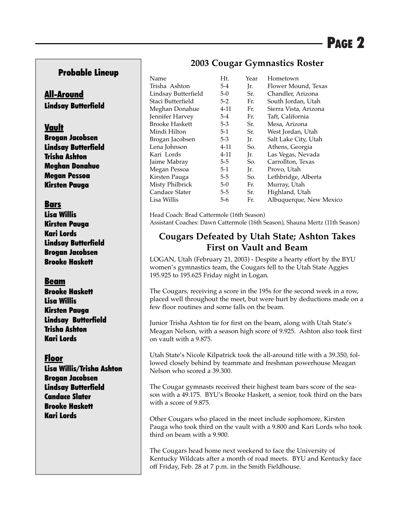#### Probable Lineup

#### All-Around Lindsay Butterfield

#### Vault

Brogan Jacobsen Lindsay Butterfield Trisha Ashton Meghan Donahue Megan Pessoa Kirsten Pauga

#### Bars

Lisa Willis Kirsten Pauga Kari Lords Lindsay Butterfield Brogan Jacobsen Brooke Haskett

#### Beam

Brooke Haskett Lisa Willis Kirsten Pauga Lindsay Butterfield Trisha Ashton Kari Lords

#### Floor

Lisa Willis/Trisha Ashton Brogan Jacobsen Lindsay Butterfield Candace Slater Brooke Haskett Kari Lords

#### **2003 Cougar Gymnastics Roster**

| Name                  | Ht.     | Year | Hometown                |
|-----------------------|---------|------|-------------------------|
| Trisha Ashton         | $5-4$   | Ir.  | Flower Mound, Texas     |
| Lindsay Butterfield   | $5-0$   | Sr.  | Chandler, Arizona       |
| Staci Butterfield     | $5-2$   | Fr.  | South Jordan, Utah      |
| Meghan Donahue        | 4-11    | Fr.  | Sierra Vista, Arizona   |
| Jennifer Harvey       | $5-4$   | Fr.  | Taft, California        |
| <b>Brooke Haskett</b> | $5 - 3$ | Sr.  | Mesa, Arizona           |
| Mindi Hilton          | $5-1$   | Sr.  | West Jordan, Utah       |
| Brogan Jacobsen       | $5 - 3$ | Jr.  | Salt Lake City, Utah    |
| Lena Johnson          | 4-11    | So.  | Athens, Georgia         |
| Kari Lords            | 4-11    | Jr.  | Las Vegas, Nevada       |
| Jaime Mabray          | $5 - 5$ | So.  | Carrollton, Texas       |
| Megan Pessoa          | $5-1$   | Ir.  | Provo, Utah             |
| Kirsten Pauga         | $5-5$   | So.  | Lethbridge, Alberta     |
| Misty Philbrick       | $5-0$   | Fr.  | Murray, Utah            |
| Candace Slater        | $5 - 5$ | Sr.  | Highland, Utah          |
| Lisa Willis           | 5-6     | Fr.  | Albuquerque, New Mexico |

Head Coach: Brad Cattermole (16th Season) Assistant Coaches: Dawn Cattermole (16th Season), Shauna Mertz (11th Season)

#### **Cougars Defeated by Utah State; Ashton Takes First on Vault and Beam**

LOGAN, Utah (February 21, 2003) - Despite a hearty effort by the BYU women's gymnastics team, the Cougars fell to the Utah State Aggies 195.925 to 195.625 Friday night in Logan.

The Cougars, receiving a score in the 195s for the second week in a row, placed well throughout the meet, but were hurt by deductions made on a few floor routines and some falls on the beam.

Junior Trisha Ashton tie for first on the beam, along with Utah State's Meagan Nelson, with a season high score of 9.925. Ashton also took first on vault with a 9.875.

Utah State's Nicole Kilpatrick took the all-around title with a 39.350, followed closely behind by teammate and freshman powerhouse Meagan Nelson who scored a 39.300.

The Cougar gymnasts received their highest team bars score of the season with a 49.175. BYU's Brooke Haskett, a senior, took third on the bars with a score of 9.875.

Other Cougars who placed in the meet include sophomore, Kirsten Pauga who took third on the vault with a 9.800 and Kari Lords who took third on beam with a 9.900.

The Cougars head home next weekend to face the University of Kentucky Wildcats after a month of road meets. BYU and Kentucky face off Friday, Feb. 28 at 7 p.m. in the Smith Fieldhouse.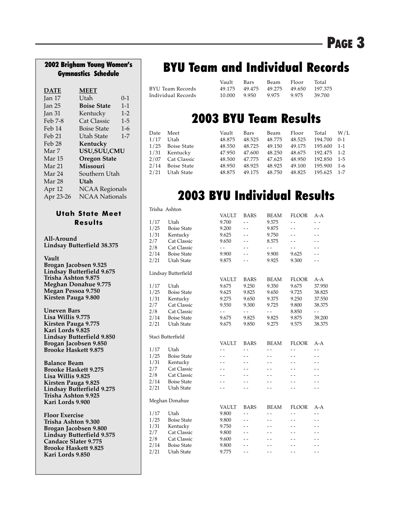# Gymnastics Schedule

| <b>DATE</b>       | <b>MEET</b>           |         |
|-------------------|-----------------------|---------|
| Jan $17$          | Utah                  | $0 - 1$ |
| Jan <sub>25</sub> | <b>Boise State</b>    | $1 - 1$ |
| Jan <sub>31</sub> | Kentucky              | $1 - 2$ |
| Feb 7-8           | <b>Cat Classic</b>    | $1 - 5$ |
| Feb 14            | Boise State           | $1-6$   |
| Feb 21            | Utah State            | $1 - 7$ |
| Feb 28            | Kentucky              |         |
| Mar 7             | USU, SUU, CMU         |         |
| Mar 15            | <b>Oregon State</b>   |         |
| Mar 21            | Missouri              |         |
| Mar 24            | Southern Utah         |         |
| Mar 28            | Utah                  |         |
| Apr 12            | <b>NCAA Regionals</b> |         |
| Apr 23-26         | <b>NCAA Nationals</b> |         |

#### **Utah State Meet Results**

**All-Around Lindsay Butterfield 38.375**

**Vault Brogan Jacobsen 9.525 Lindsay Butterfield 9.675 Trisha Ashton 9.875 Meghan Donahue 9.775 Megan Pessoa 9.750 Kirsten Pauga 9.800**

**Uneven Bars Lisa Willis 9.775 Kirsten Pauga 9.775 Kari Lords 9.825 Lindsay Butterfield 9.850 Brogan Jacobsen 9.850 Brooke Haskett 9.875**

**Balance Beam Brooke Haskett 9.275 Lisa Willis 9.825 Kirsten Pauga 9.825 Lindsay Butterfield 9.275 Trisha Ashton 9.925 Kari Lords 9.900**

**Floor Exercise Trisha Ashton 9.300 Brogan Jacobsen 9.800 Lindsay Butterfield 9.575 Candace Slater 9.775 Brooke Haskett 9.825 Kari Lords 9.850**

# 2002 Brigham Young Women's | BYU Team and Individual Records

|                    | Vault –       | Bars | Beam Floor            |       | Total   |
|--------------------|---------------|------|-----------------------|-------|---------|
| BYU Team Records   | 49.175 49.475 |      | 49.275 49.650 197.375 |       |         |
| Individual Records | 10.000 9.950  |      | 9.975                 | 9.975 | -39.700 |

### 2003 BYU Team Results

| Date | Meet             | Vault  | Bars   | Beam   | Floor  | Total       | W/L     |
|------|------------------|--------|--------|--------|--------|-------------|---------|
|      | 1/17 Utah        | 48.875 | 48.525 | 48.775 | 48.525 | 194.700     | $0-1$   |
|      | 1/25 Boise State | 48.550 | 48.725 | 49.150 | 49.175 | 195.600     | $1 - 1$ |
|      | 1/31 Kentucky    | 47.950 | 47.600 | 48.250 | 48.675 | 192.475 1-2 |         |
|      | 2/07 Cat Classic | 48.500 | 47.775 | 47.625 | 48.950 | 192.850 1-5 |         |
|      | 2/14 Boise State | 48.950 | 48.925 | 48.925 | 49.100 | 195.900     | $1-6$   |
|      | 2/21 Utah State  | 48.875 | 49.175 | 48.750 | 48.825 | 195.625 1-7 |         |
|      |                  |        |        |        |        |             |         |

# 2003 BYU Individual Results

|      | Trisha Ashton       |                          |                          |                |                          |                          |
|------|---------------------|--------------------------|--------------------------|----------------|--------------------------|--------------------------|
|      |                     | <b>VAULT</b>             | <b>BARS</b>              | <b>BEAM</b>    | <b>FLOOR</b>             | A-A                      |
| 1/17 | Utah                | 9.700                    | $\overline{a}$           | 9.575          | $-$                      | $ -$                     |
| 1/25 | <b>Boise State</b>  | 9.200                    |                          | 9.875          | $\overline{\phantom{a}}$ | $-$                      |
| 1/31 | Kentucky            | 9.625                    |                          | 9.750          |                          |                          |
| 2/7  | Cat Classic         | 9.650                    |                          | 8.575          |                          |                          |
| 2/8  | <b>Cat Classic</b>  | $-$                      | $\overline{\phantom{a}}$ | $\overline{a}$ | - -                      | $ -$                     |
| 2/14 | <b>Boise State</b>  | 9.900                    | $ -$                     | 9.900          | 9.625                    |                          |
| 2/21 | <b>Utah State</b>   | 9.875                    | $ -$                     | 9.925          | 9.300                    |                          |
|      | Lindsay Butterfield |                          |                          |                |                          |                          |
|      |                     | <b>VAULT</b>             | <b>BARS</b>              | <b>BEAM</b>    | <b>FLOOR</b>             | $A-A$                    |
| 1/17 | Utah                | 9.675                    | 9.250                    | 9.350          | 9.675                    | 37.950                   |
| 1/25 | <b>Boise State</b>  | 9.625                    | 9.825                    | 9.650          | 9.725                    | 38.825                   |
| 1/31 | Kentucky            | 9.275                    | 9.650                    | 9.375          | 9.250                    | 37.550                   |
| 2/7  | Cat Classic         | 9.550                    | 9.300                    | 9.725          | 9.800                    | 38.375                   |
| 2/8  | <b>Cat Classic</b>  | $-$                      | $-$                      | $-$            | 8.850                    | $ -$                     |
| 2/14 | <b>Boise State</b>  | 9.675                    | 9.825                    | 9.825          | 9.875                    | 39.200                   |
| 2/21 | Utah State          | 9.675                    | 9.850                    | 9.275          | 9.575                    | 38.375                   |
|      | Staci Butterfield   |                          |                          |                |                          |                          |
|      |                     | <b>VAULT</b>             | <b>BARS</b>              | <b>BEAM</b>    | <b>FLOOR</b>             | A-A                      |
| 1/17 | Utah                | $-$                      | $\overline{a}$           | $\overline{a}$ | $\overline{a}$           | $ -$                     |
| 1/25 | <b>Boise State</b>  | $ -$                     | $ -$                     | $ -$           | $ -$                     | - -                      |
| 1/31 | Kentucky            | $-$                      | $-$                      | $ -$           | $-$                      | $\overline{\phantom{a}}$ |
| 2/7  | Cat Classic         | $\overline{\phantom{0}}$ |                          |                |                          |                          |
| 2/8  | <b>Cat Classic</b>  | $ -$                     |                          |                |                          |                          |
| 2/14 | <b>Boise State</b>  | $ -$                     | $ -$                     | $ -$           |                          | - -                      |
| 2/21 | Utah State          | $ -$                     | $ -$                     | - -            | $ -$                     | $\overline{\phantom{a}}$ |
|      | Meghan Donahue      |                          |                          |                |                          |                          |
|      |                     | <b>VAULT</b>             | <b>BARS</b>              | <b>BEAM</b>    | <b>FLOOR</b>             | A-A                      |
| 1/17 | Utah                | 9.800                    | $\overline{a}$           | $\overline{a}$ | - -                      | $ -$                     |
| 1/25 | <b>Boise State</b>  | 9.800                    | $ -$                     | $ -$           | $-$                      |                          |
| 1/31 | Kentucky            | 9.750                    | $-$                      | $ -$           | - -                      | - -                      |
| 2/7  | Cat Classic         | 9.800                    |                          |                |                          | $-$                      |
| 2/8  | Cat Classic         | 9.600                    |                          |                |                          |                          |
| 2/14 | <b>Boise State</b>  | 9.800                    |                          |                |                          |                          |
| 2/21 | Utah State          | 9.775                    | $ -$                     | $ -$           | $ -$                     | $ -$                     |
|      |                     |                          |                          |                |                          |                          |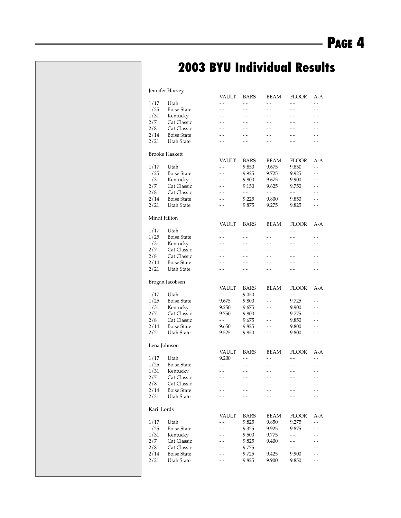# 2003 BYU Individual Results

Jennifer Harvey

|              | $, \dots$             | VAULT        | <b>BARS</b> | BEAM                     | <b>FLOOR</b>             | A-A     |
|--------------|-----------------------|--------------|-------------|--------------------------|--------------------------|---------|
| 1/17         | Utah                  | - -          | - -         | - -                      | $ -$                     | $-$     |
| 1/25         | <b>Boise State</b>    | - -          | $-$         | - -                      | $-$                      | - -     |
| 1/31         | Kentucky              | - -          | - -         | - -                      | - -                      | - -     |
| 2/7          | Cat Classic           | $-$          | $-$         | $-$                      | $-$                      | $-$     |
| 2/8          | <b>Cat Classic</b>    |              |             |                          | - -                      |         |
|              | <b>Boise State</b>    |              |             |                          |                          |         |
| 2/14         |                       | - -          | $-$         | $-$                      | $-$                      | $-$     |
| 2/21         | Utah State            |              | - -         | - -                      | - -                      | - -     |
|              |                       |              |             |                          |                          |         |
|              | <b>Brooke Haskett</b> |              |             |                          |                          |         |
|              |                       | <b>VAULT</b> | <b>BARS</b> | BEAM                     | FLOOR                    | $A - A$ |
| 1/17         | Utah                  | - -          | 9.850       | 9.675                    | 9.850                    | $-$     |
| 1/25         | <b>Boise State</b>    | $-$          | 9.925       | 9.725                    | 9.925                    | $ -$    |
| 1/31         | Kentucky              |              | 9.800       | 9.675                    | 9.900                    | - -     |
| 2/7          | Cat Classic           | - -          | 9.150       | 9.625                    | 9.750                    | $ -$    |
| 2/8          | Cat Classic           | - -          | - -         | $ -$                     | $\overline{\phantom{a}}$ | - -     |
| 2/14         | <b>Boise State</b>    | $-$          | 9.225       | 9.800                    | 9.850                    | $ -$    |
| 2/21         | Utah State            |              | 9.875       | 9.275                    | 9.825                    |         |
|              |                       |              |             |                          |                          |         |
| Mindi Hilton |                       |              |             |                          |                          |         |
|              |                       | VAULT        | <b>BARS</b> | BEAM                     | <b>FLOOR</b>             | A-A     |
| 1/17         | Utah                  | - -          | $ -$        | $\overline{\phantom{a}}$ | $ -$                     | - -     |
| 1/25         | <b>Boise State</b>    | $-$          | $-$         | $-$                      | $-$                      | $-$     |
| 1/31         | Kentucky              | - -          | - -         | - -                      | - -                      | - -     |
| 2/7          | Cat Classic           | $-$          | $-$         | $-$                      | $-$                      | $-$     |
| 2/8          | Cat Classic           |              | - -         | $ -$                     | $ -$                     |         |
| 2/14         | <b>Boise State</b>    |              | - -         | $-$                      | $-$                      | - -     |
| 2/21         | Utah State            |              | $-$         | $-$                      | $-$                      | - -     |
|              |                       |              |             |                          |                          |         |
|              | Brogan Jacobsen       |              |             |                          |                          |         |
|              |                       | VAULT        | <b>BARS</b> | BEAM                     | FLOOR                    | A-A     |
| 1/17         | Utah                  | $ -$         | 9.050       | $-$                      | $ -$                     | - -     |
| 1/25         | <b>Boise State</b>    | 9.675        | 9.800       | $ -$                     | 9.725                    | $-$     |
| 1/31         | Kentucky              | 9.250        | 9.675       | - -                      | 9.900                    | $ -$    |
| 2/7          | Cat Classic           | 9.750        | 9.800       | $-$                      | 9.775                    | - -     |
| 2/8          | Cat Classic           | $ -$         | 9.675       | - -                      | 9.850                    | - -     |
| 2/14         | <b>Boise State</b>    | 9.650        | 9.825       | $-$                      | 9.800                    | $-$     |
| 2/21         | Utah State            | 9.525        | 9.850       | - -                      | 9.800                    | - -     |
|              |                       |              |             |                          |                          |         |
| Lena Johnson |                       |              |             |                          |                          |         |
|              |                       | VAULT        | <b>BARS</b> | BEAM                     | <b>FLOOR</b>             | A-A     |
| 1/17         | Utah                  | 9.200        | - -         | - -                      | - -                      | $ -$    |
| 1/25         | <b>Boise State</b>    | - -          | - -         | - -                      | - -                      | $-$     |
| 1/31         | Kentucky              | - -          | - -         | - -                      | - -                      | - -     |
| 2/7          | Cat Classic           | $-$          | $-$         | $-$                      | $-$                      | $-$     |
| 2/8          | Cat Classic           |              |             |                          |                          |         |
| 2/14         | <b>Boise State</b>    |              |             |                          |                          |         |
|              |                       |              |             |                          |                          |         |
| 2/21         | Utah State            |              |             |                          |                          |         |
| Kari Lords   |                       |              |             |                          |                          |         |
|              |                       | VAULT        | <b>BARS</b> | BEAM                     | <b>FLOOR</b>             | A-A     |
| 1/17         | Utah                  | . .          | 9.825       | 9.850                    | 9.275                    | $-$     |
| 1/25         | <b>Boise State</b>    |              | 9.325       | 9.925                    | 9.875                    | $-$     |
| 1/31         |                       |              |             |                          | $-$                      |         |
|              | Kentucky              |              | 9.500       | 9.775                    |                          |         |
| 2/7          | Cat Classic           |              | 9.825       | 9.400                    | $\overline{\phantom{a}}$ |         |
| 2/8          | <b>Cat Classic</b>    |              | 9.775       | $\overline{\phantom{a}}$ | $-$                      |         |
| 2/14         | <b>Boise State</b>    |              | 9.725       | 9.425                    | 9.900                    |         |
| 2/21         | Utah State            |              | 9.825       | 9.900                    | 9.850                    |         |
|              |                       |              |             |                          |                          |         |